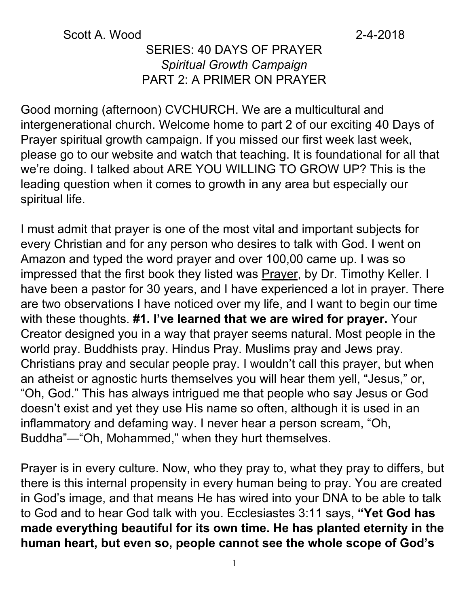### Scott A. Wood 2-4-2018

### SERIES: 40 DAYS OF PRAYER *Spiritual Growth Campaign* PART 2: A PRIMER ON PRAYER

Good morning (afternoon) CVCHURCH. We are a multicultural and intergenerational church. Welcome home to part 2 of our exciting 40 Days of Prayer spiritual growth campaign. If you missed our first week last week, please go to our website and watch that teaching. It is foundational for all that we're doing. I talked about ARE YOU WILLING TO GROW UP? This is the leading question when it comes to growth in any area but especially our spiritual life.

I must admit that prayer is one of the most vital and important subjects for every Christian and for any person who desires to talk with God. I went on Amazon and typed the word prayer and over 100,00 came up. I was so impressed that the first book they listed was **Prayer**, by Dr. Timothy Keller. I have been a pastor for 30 years, and I have experienced a lot in prayer. There are two observations I have noticed over my life, and I want to begin our time with these thoughts. **#1. I've learned that we are wired for prayer.** Your Creator designed you in a way that prayer seems natural. Most people in the world pray. Buddhists pray. Hindus Pray. Muslims pray and Jews pray. Christians pray and secular people pray. I wouldn't call this prayer, but when an atheist or agnostic hurts themselves you will hear them yell, "Jesus," or, "Oh, God." This has always intrigued me that people who say Jesus or God doesn't exist and yet they use His name so often, although it is used in an inflammatory and defaming way. I never hear a person scream, "Oh, Buddha"—"Oh, Mohammed," when they hurt themselves.

Prayer is in every culture. Now, who they pray to, what they pray to differs, but there is this internal propensity in every human being to pray. You are created in God's image, and that means He has wired into your DNA to be able to talk to God and to hear God talk with you. Ecclesiastes 3:11 says, **"Yet God has made everything beautiful for its own time. He has planted eternity in the human heart, but even so, people cannot see the whole scope of God's**

1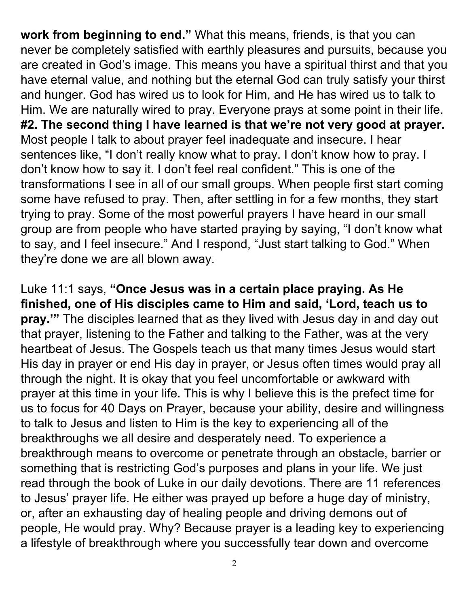**work from beginning to end."** What this means, friends, is that you can never be completely satisfied with earthly pleasures and pursuits, because you are created in God's image. This means you have a spiritual thirst and that you have eternal value, and nothing but the eternal God can truly satisfy your thirst and hunger. God has wired us to look for Him, and He has wired us to talk to Him. We are naturally wired to pray. Everyone prays at some point in their life. **#2. The second thing I have learned is that we're not very good at prayer.** Most people I talk to about prayer feel inadequate and insecure. I hear sentences like, "I don't really know what to pray. I don't know how to pray. I don't know how to say it. I don't feel real confident." This is one of the transformations I see in all of our small groups. When people first start coming some have refused to pray. Then, after settling in for a few months, they start trying to pray. Some of the most powerful prayers I have heard in our small group are from people who have started praying by saying, "I don't know what to say, and I feel insecure." And I respond, "Just start talking to God." When they're done we are all blown away.

Luke 11:1 says, **"Once Jesus was in a certain place praying. As He finished, one of His disciples came to Him and said, 'Lord, teach us to pray.'"** The disciples learned that as they lived with Jesus day in and day out that prayer, listening to the Father and talking to the Father, was at the very heartbeat of Jesus. The Gospels teach us that many times Jesus would start His day in prayer or end His day in prayer, or Jesus often times would pray all through the night. It is okay that you feel uncomfortable or awkward with prayer at this time in your life. This is why I believe this is the prefect time for us to focus for 40 Days on Prayer, because your ability, desire and willingness to talk to Jesus and listen to Him is the key to experiencing all of the breakthroughs we all desire and desperately need. To experience a breakthrough means to overcome or penetrate through an obstacle, barrier or something that is restricting God's purposes and plans in your life. We just read through the book of Luke in our daily devotions. There are 11 references to Jesus' prayer life. He either was prayed up before a huge day of ministry, or, after an exhausting day of healing people and driving demons out of people, He would pray. Why? Because prayer is a leading key to experiencing a lifestyle of breakthrough where you successfully tear down and overcome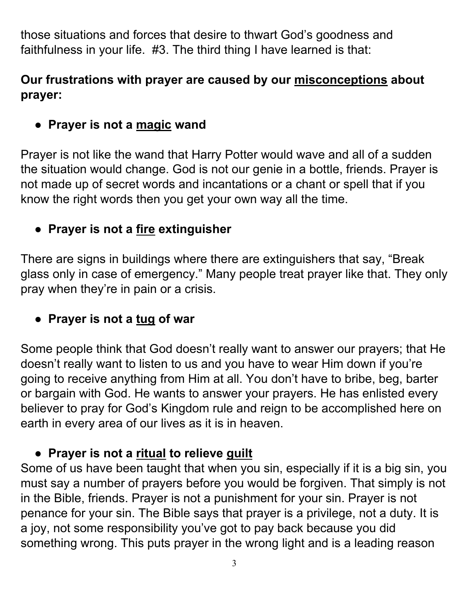those situations and forces that desire to thwart God's goodness and faithfulness in your life. #3. The third thing I have learned is that:

### **Our frustrations with prayer are caused by our misconceptions about prayer:**

## ● **Prayer is not a magic wand**

Prayer is not like the wand that Harry Potter would wave and all of a sudden the situation would change. God is not our genie in a bottle, friends. Prayer is not made up of secret words and incantations or a chant or spell that if you know the right words then you get your own way all the time.

### ● **Prayer is not a fire extinguisher**

There are signs in buildings where there are extinguishers that say, "Break glass only in case of emergency." Many people treat prayer like that. They only pray when they're in pain or a crisis.

### ● **Prayer is not a tug of war**

Some people think that God doesn't really want to answer our prayers; that He doesn't really want to listen to us and you have to wear Him down if you're going to receive anything from Him at all. You don't have to bribe, beg, barter or bargain with God. He wants to answer your prayers. He has enlisted every believer to pray for God's Kingdom rule and reign to be accomplished here on earth in every area of our lives as it is in heaven.

### ● **Prayer is not a ritual to relieve guilt**

Some of us have been taught that when you sin, especially if it is a big sin, you must say a number of prayers before you would be forgiven. That simply is not in the Bible, friends. Prayer is not a punishment for your sin. Prayer is not penance for your sin. The Bible says that prayer is a privilege, not a duty. It is a joy, not some responsibility you've got to pay back because you did something wrong. This puts prayer in the wrong light and is a leading reason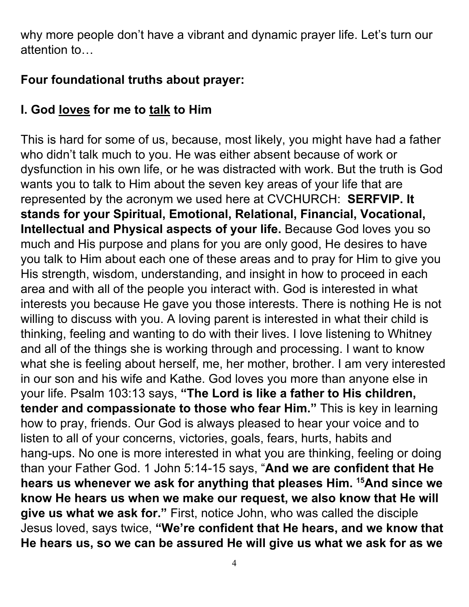why more people don't have a vibrant and dynamic prayer life. Let's turn our attention to…

## **Four foundational truths about prayer:**

# **I. God loves for me to talk to Him**

This is hard for some of us, because, most likely, you might have had a father who didn't talk much to you. He was either absent because of work or dysfunction in his own life, or he was distracted with work. But the truth is God wants you to talk to Him about the seven key areas of your life that are represented by the acronym we used here at CVCHURCH: **SERFVIP. It stands for your Spiritual, Emotional, Relational, Financial, Vocational, Intellectual and Physical aspects of your life.** Because God loves you so much and His purpose and plans for you are only good, He desires to have you talk to Him about each one of these areas and to pray for Him to give you His strength, wisdom, understanding, and insight in how to proceed in each area and with all of the people you interact with. God is interested in what interests you because He gave you those interests. There is nothing He is not willing to discuss with you. A loving parent is interested in what their child is thinking, feeling and wanting to do with their lives. I love listening to Whitney and all of the things she is working through and processing. I want to know what she is feeling about herself, me, her mother, brother. I am very interested in our son and his wife and Kathe. God loves you more than anyone else in your life. Psalm 103:13 says, **"The Lord is like a father to His children, tender and compassionate to those who fear Him."** This is key in learning how to pray, friends. Our God is always pleased to hear your voice and to listen to all of your concerns, victories, goals, fears, hurts, habits and hang-ups. No one is more interested in what you are thinking, feeling or doing than your Father God. 1 John 5:14-15 says, "**And we are confident that He hears us whenever we ask for anything that pleases Him. <sup>15</sup>And since we know He hears us when we make our request, we also know that He will give us what we ask for."** First, notice John, who was called the disciple Jesus loved, says twice, **"We're confident that He hears, and we know that He hears us, so we can be assured He will give us what we ask for as we**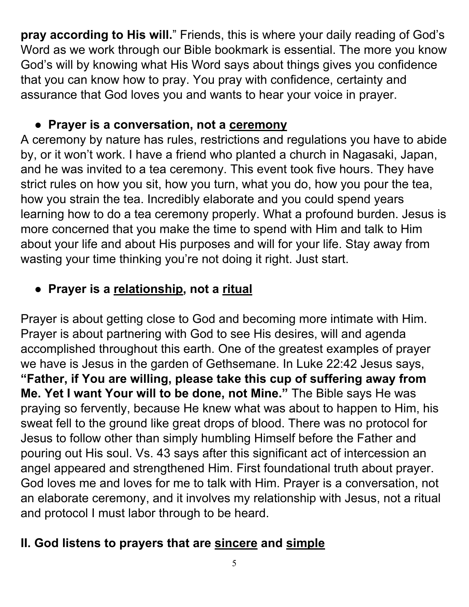**pray according to His will.**" Friends, this is where your daily reading of God's Word as we work through our Bible bookmark is essential. The more you know God's will by knowing what His Word says about things gives you confidence that you can know how to pray. You pray with confidence, certainty and assurance that God loves you and wants to hear your voice in prayer.

## ● **Prayer is a conversation, not a ceremony**

A ceremony by nature has rules, restrictions and regulations you have to abide by, or it won't work. I have a friend who planted a church in Nagasaki, Japan, and he was invited to a tea ceremony. This event took five hours. They have strict rules on how you sit, how you turn, what you do, how you pour the tea, how you strain the tea. Incredibly elaborate and you could spend years learning how to do a tea ceremony properly. What a profound burden. Jesus is more concerned that you make the time to spend with Him and talk to Him about your life and about His purposes and will for your life. Stay away from wasting your time thinking you're not doing it right. Just start.

# ● **Prayer is a relationship, not a ritual**

Prayer is about getting close to God and becoming more intimate with Him. Prayer is about partnering with God to see His desires, will and agenda accomplished throughout this earth. One of the greatest examples of prayer we have is Jesus in the garden of Gethsemane. In Luke 22:42 Jesus says, **"Father, if You are willing, please take this cup of suffering away from Me. Yet I want Your will to be done, not Mine."** The Bible says He was praying so fervently, because He knew what was about to happen to Him, his sweat fell to the ground like great drops of blood. There was no protocol for Jesus to follow other than simply humbling Himself before the Father and pouring out His soul. Vs. 43 says after this significant act of intercession an angel appeared and strengthened Him. First foundational truth about prayer. God loves me and loves for me to talk with Him. Prayer is a conversation, not an elaborate ceremony, and it involves my relationship with Jesus, not a ritual and protocol I must labor through to be heard.

## **II. God listens to prayers that are sincere and simple**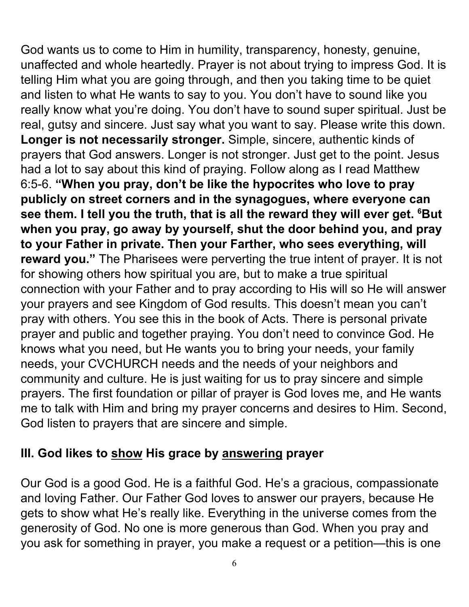God wants us to come to Him in humility, transparency, honesty, genuine, unaffected and whole heartedly. Prayer is not about trying to impress God. It is telling Him what you are going through, and then you taking time to be quiet and listen to what He wants to say to you. You don't have to sound like you really know what you're doing. You don't have to sound super spiritual. Just be real, gutsy and sincere. Just say what you want to say. Please write this down. **Longer is not necessarily stronger.** Simple, sincere, authentic kinds of prayers that God answers. Longer is not stronger. Just get to the point. Jesus had a lot to say about this kind of praying. Follow along as I read Matthew 6:5-6. **"When you pray, don't be like the hypocrites who love to pray publicly on street corners and in the synagogues, where everyone can see them. I tell you the truth, that is all the reward they will ever get. <sup>6</sup>But when you pray, go away by yourself, shut the door behind you, and pray to your Father in private. Then your Farther, who sees everything, will reward you."** The Pharisees were perverting the true intent of prayer. It is not for showing others how spiritual you are, but to make a true spiritual connection with your Father and to pray according to His will so He will answer your prayers and see Kingdom of God results. This doesn't mean you can't pray with others. You see this in the book of Acts. There is personal private prayer and public and together praying. You don't need to convince God. He knows what you need, but He wants you to bring your needs, your family needs, your CVCHURCH needs and the needs of your neighbors and community and culture. He is just waiting for us to pray sincere and simple prayers. The first foundation or pillar of prayer is God loves me, and He wants me to talk with Him and bring my prayer concerns and desires to Him. Second, God listen to prayers that are sincere and simple.

### **III. God likes to show His grace by answering prayer**

Our God is a good God. He is a faithful God. He's a gracious, compassionate and loving Father. Our Father God loves to answer our prayers, because He gets to show what He's really like. Everything in the universe comes from the generosity of God. No one is more generous than God. When you pray and you ask for something in prayer, you make a request or a petition—this is one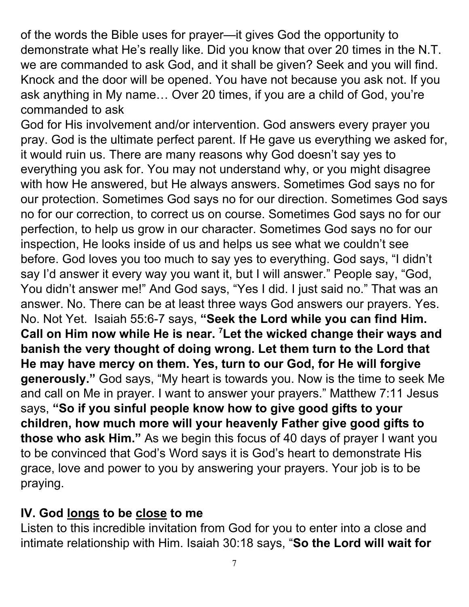of the words the Bible uses for prayer—it gives God the opportunity to demonstrate what He's really like. Did you know that over 20 times in the N.T. we are commanded to ask God, and it shall be given? Seek and you will find. Knock and the door will be opened. You have not because you ask not. If you ask anything in My name… Over 20 times, if you are a child of God, you're commanded to ask

God for His involvement and/or intervention. God answers every prayer you pray. God is the ultimate perfect parent. If He gave us everything we asked for, it would ruin us. There are many reasons why God doesn't say yes to everything you ask for. You may not understand why, or you might disagree with how He answered, but He always answers. Sometimes God says no for our protection. Sometimes God says no for our direction. Sometimes God says no for our correction, to correct us on course. Sometimes God says no for our perfection, to help us grow in our character. Sometimes God says no for our inspection, He looks inside of us and helps us see what we couldn't see before. God loves you too much to say yes to everything. God says, "I didn't say I'd answer it every way you want it, but I will answer." People say, "God, You didn't answer me!" And God says, "Yes I did. I just said no." That was an answer. No. There can be at least three ways God answers our prayers. Yes. No. Not Yet. Isaiah 55:6-7 says, **"Seek the Lord while you can find Him. Call on Him now while He is near. <sup>7</sup>Let the wicked change their ways and banish the very thought of doing wrong. Let them turn to the Lord that He may have mercy on them. Yes, turn to our God, for He will forgive generously."** God says, "My heart is towards you. Now is the time to seek Me and call on Me in prayer. I want to answer your prayers." Matthew 7:11 Jesus says, **"So if you sinful people know how to give good gifts to your children, how much more will your heavenly Father give good gifts to those who ask Him."** As we begin this focus of 40 days of prayer I want you to be convinced that God's Word says it is God's heart to demonstrate His grace, love and power to you by answering your prayers. Your job is to be praying.

### **IV. God longs to be close to me**

Listen to this incredible invitation from God for you to enter into a close and intimate relationship with Him. Isaiah 30:18 says, "**So the Lord will wait for**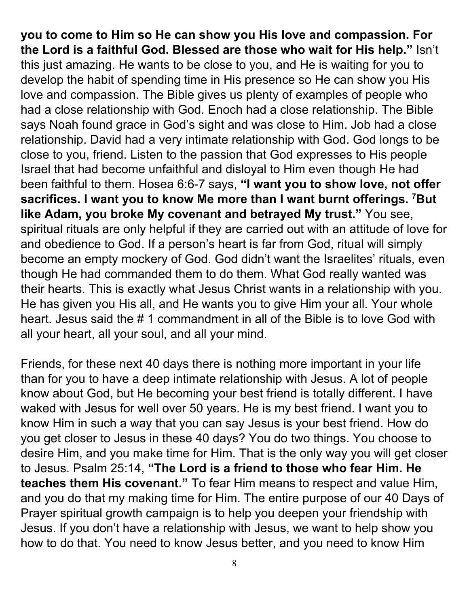**you to come to Him so He can show you His love and compassion. For the Lord is a faithful God. Blessed are those who wait for His help."** Isn't this just amazing. He wants to be close to you, and He is waiting for you to develop the habit of spending time in His presence so He can show you His love and compassion. The Bible gives us plenty of examples of people who had a close relationship with God. Enoch had a close relationship. The Bible says Noah found grace in God's sight and was close to Him. Job had a close relationship. David had a very intimate relationship with God. God longs to be close to you, friend. Listen to the passion that God expresses to His people Israel that had become unfaithful and disloyal to Him even though He had been faithful to them. Hosea 6:6-7 says, **"I want you to show love, not offer sacrifices. I want you to know Me more than I want burnt offerings. <sup>7</sup>But like Adam, you broke My covenant and betrayed My trust."** You see, spiritual rituals are only helpful if they are carried out with an attitude of love for and obedience to God. If a person's heart is far from God, ritual will simply become an empty mockery of God. God didn't want the Israelites' rituals, even though He had commanded them to do them. What God really wanted was their hearts. This is exactly what Jesus Christ wants in a relationship with you. He has given you His all, and He wants you to give Him your all. Your whole heart. Jesus said the # 1 commandment in all of the Bible is to love God with all your heart, all your soul, and all your mind.

Friends, for these next 40 days there is nothing more important in your life than for you to have a deep intimate relationship with Jesus. A lot of people know about God, but He becoming your best friend is totally different. I have waked with Jesus for well over 50 years. He is my best friend. I want you to know Him in such a way that you can say Jesus is your best friend. How do you get closer to Jesus in these 40 days? You do two things. You choose to desire Him, and you make time for Him. That is the only way you will get closer to Jesus. Psalm 25:14, **"The Lord is a friend to those who fear Him. He teaches them His covenant."** To fear Him means to respect and value Him, and you do that my making time for Him. The entire purpose of our 40 Days of Prayer spiritual growth campaign is to help you deepen your friendship with Jesus. If you don't have a relationship with Jesus, we want to help show you how to do that. You need to know Jesus better, and you need to know Him